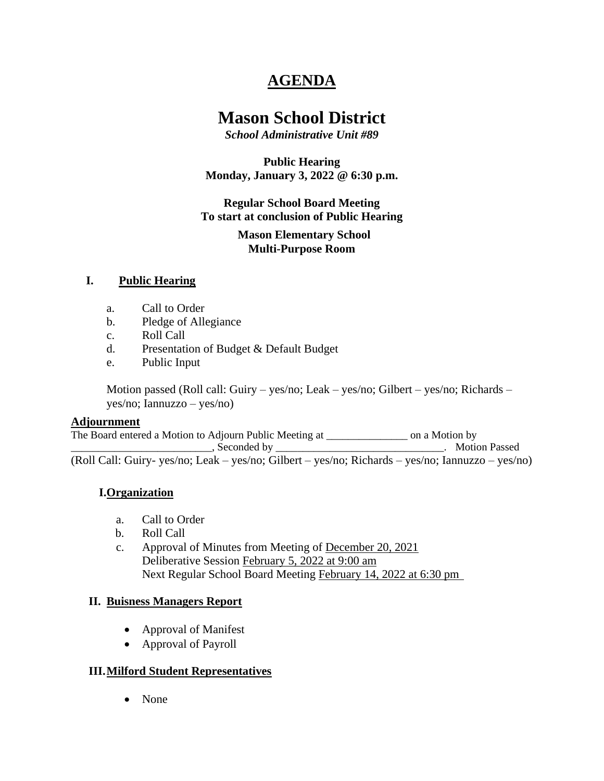# **AGENDA**

# **Mason School District**

*School Administrative Unit #89*

**Public Hearing Monday, January 3, 2022 @ 6:30 p.m.**

**Regular School Board Meeting To start at conclusion of Public Hearing**

> **Mason Elementary School Multi-Purpose Room**

## **I. Public Hearing**

- a. Call to Order
- b. Pledge of Allegiance
- c. Roll Call
- d. Presentation of Budget & Default Budget
- e. Public Input

Motion passed (Roll call: Guiry – yes/no; Leak – yes/no; Gilbert – yes/no; Richards – yes/no; Iannuzzo – yes/no)

#### **Adjournment**

The Board entered a Motion to Adjourn Public Meeting at \_\_\_\_\_\_\_\_\_\_\_\_\_\_\_ on a Motion by \_\_\_\_\_\_\_\_\_\_\_\_\_\_\_\_\_\_\_\_\_\_\_\_\_\_, Seconded by \_\_\_\_\_\_\_\_\_\_\_\_\_\_\_\_\_\_\_\_\_\_\_\_\_\_\_\_\_\_\_. Motion Passed (Roll Call: Guiry- yes/no; Leak – yes/no; Gilbert – yes/no; Richards – yes/no; Iannuzzo – yes/no)

#### **I.Organization**

- a. Call to Order
- b. Roll Call
- c. Approval of Minutes from Meeting of December 20, 2021 Deliberative Session February 5, 2022 at 9:00 am Next Regular School Board Meeting February 14, 2022 at 6:30 pm

#### **II. Buisness Managers Report**

- Approval of Manifest
- Approval of Payroll

#### **III.Milford Student Representatives**

• None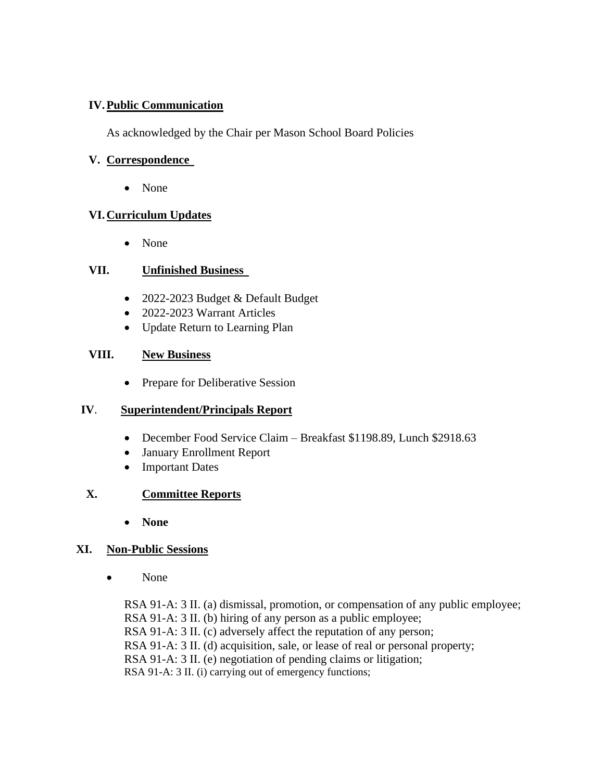## **IV.Public Communication**

As acknowledged by the Chair per Mason School Board Policies

## **V. Correspondence**

• None

# **VI.Curriculum Updates**

• None

## **VII. Unfinished Business**

- 2022-2023 Budget & Default Budget
- 2022-2023 Warrant Articles
- Update Return to Learning Plan

## **VIII. New Business**

• Prepare for Deliberative Session

# **IV**. **Superintendent/Principals Report**

- December Food Service Claim Breakfast \$1198.89, Lunch \$2918.63
- January Enrollment Report
- Important Dates

# **X. Committee Reports**

• **None**

# **XI. Non-Public Sessions**

• None

RSA 91-A: 3 II. (a) dismissal, promotion, or compensation of any public employee; RSA 91-A: 3 II. (b) hiring of any person as a public employee; RSA 91-A: 3 II. (c) adversely affect the reputation of any person; RSA 91-A: 3 II. (d) acquisition, sale, or lease of real or personal property; RSA 91-A: 3 II. (e) negotiation of pending claims or litigation; RSA 91-A: 3 II. (i) carrying out of emergency functions;